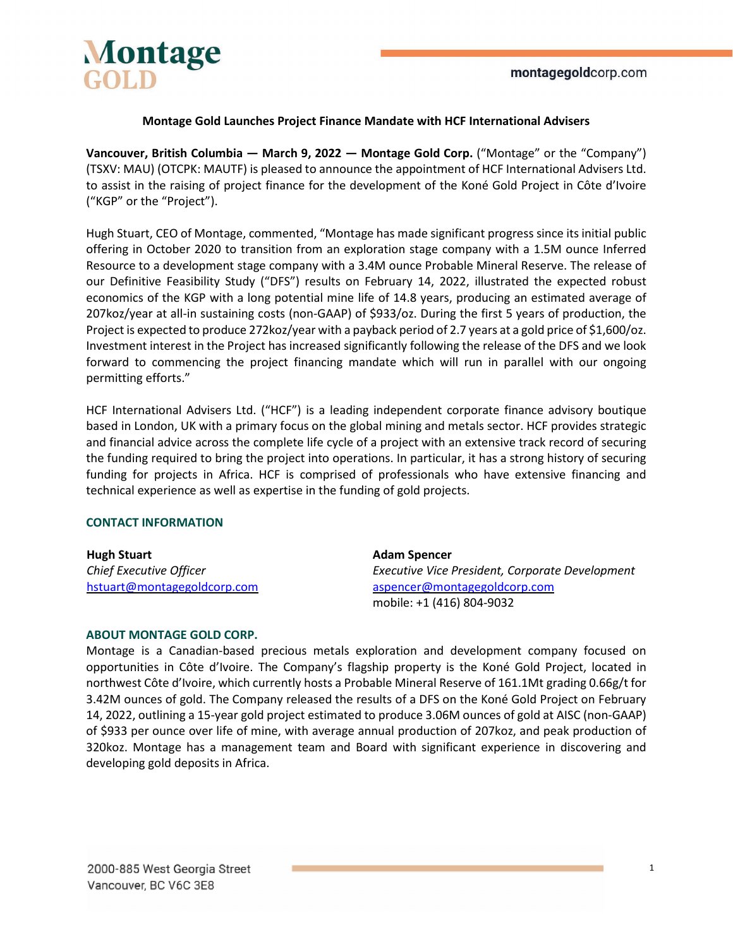

## **Montage Gold Launches Project Finance Mandate with HCF International Advisers**

**Vancouver, British Columbia — March 9, 2022 — Montage Gold Corp.** ("Montage" or the "Company") (TSXV: MAU) (OTCPK: MAUTF) is pleased to announce the appointment of HCF International Advisers Ltd. to assist in the raising of project finance for the development of the Koné Gold Project in Côte d'Ivoire ("KGP" or the "Project").

Hugh Stuart, CEO of Montage, commented, "Montage has made significant progress since its initial public offering in October 2020 to transition from an exploration stage company with a 1.5M ounce Inferred Resource to a development stage company with a 3.4M ounce Probable Mineral Reserve. The release of our Definitive Feasibility Study ("DFS") results on February 14, 2022, illustrated the expected robust economics of the KGP with a long potential mine life of 14.8 years, producing an estimated average of 207koz/year at all-in sustaining costs (non-GAAP) of \$933/oz. During the first 5 years of production, the Project is expected to produce 272koz/year with a payback period of 2.7 years at a gold price of \$1,600/oz. Investment interest in the Project has increased significantly following the release of the DFS and we look forward to commencing the project financing mandate which will run in parallel with our ongoing permitting efforts."

HCF International Advisers Ltd. ("HCF") is a leading independent corporate finance advisory boutique based in London, UK with a primary focus on the global mining and metals sector. HCF provides strategic and financial advice across the complete life cycle of a project with an extensive track record of securing the funding required to bring the project into operations. In particular, it has a strong history of securing funding for projects in Africa. HCF is comprised of professionals who have extensive financing and technical experience as well as expertise in the funding of gold projects.

#### **CONTACT INFORMATION**

| <b>Hugh Stuart</b>          | <b>Adam Spencer</b>                             |
|-----------------------------|-------------------------------------------------|
| Chief Executive Officer     | Executive Vice President, Corporate Development |
| hstuart@montagegoldcorp.com | aspencer@montagegoldcorp.com                    |
|                             | mobile: +1 (416) 804-9032                       |

## **ABOUT MONTAGE GOLD CORP.**

Montage is a Canadian-based precious metals exploration and development company focused on opportunities in Côte d'Ivoire. The Company's flagship property is the Koné Gold Project, located in northwest Côte d'Ivoire, which currently hosts a Probable Mineral Reserve of 161.1Mt grading 0.66g/t for 3.42M ounces of gold. The Company released the results of a DFS on the Koné Gold Project on February 14, 2022, outlining a 15-year gold project estimated to produce 3.06M ounces of gold at AISC (non-GAAP) of \$933 per ounce over life of mine, with average annual production of 207koz, and peak production of 320koz. Montage has a management team and Board with significant experience in discovering and developing gold deposits in Africa.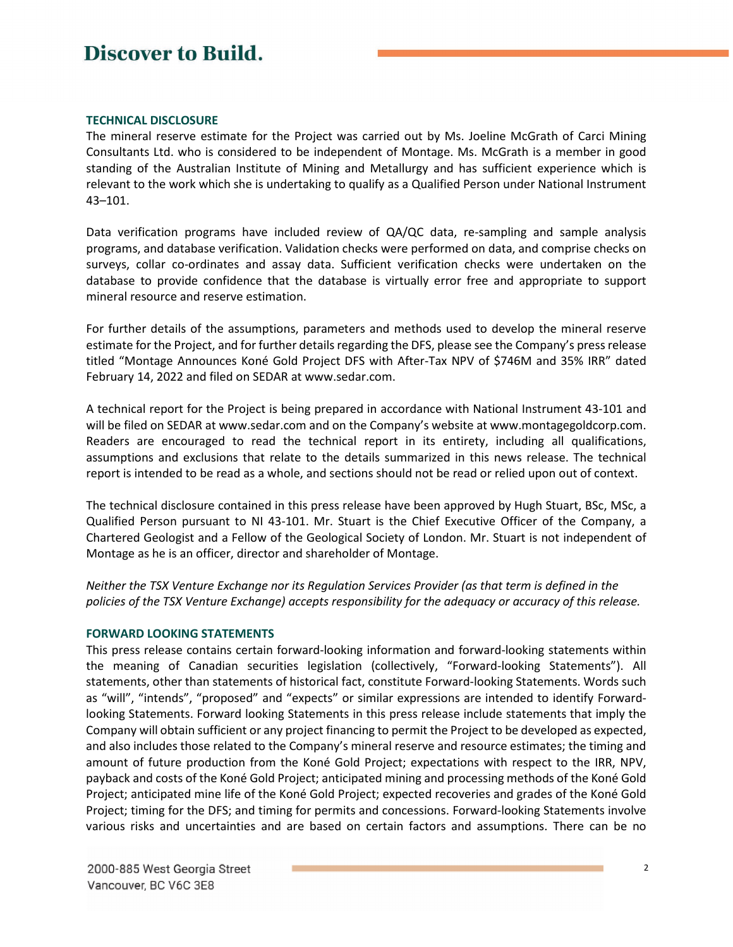# **Discover to Build.**

### **TECHNICAL DISCLOSURE**

The mineral reserve estimate for the Project was carried out by Ms. Joeline McGrath of Carci Mining Consultants Ltd. who is considered to be independent of Montage. Ms. McGrath is a member in good standing of the Australian Institute of Mining and Metallurgy and has sufficient experience which is relevant to the work which she is undertaking to qualify as a Qualified Person under National Instrument 43–101.

Data verification programs have included review of QA/QC data, re-sampling and sample analysis programs, and database verification. Validation checks were performed on data, and comprise checks on surveys, collar co-ordinates and assay data. Sufficient verification checks were undertaken on the database to provide confidence that the database is virtually error free and appropriate to support mineral resource and reserve estimation.

For further details of the assumptions, parameters and methods used to develop the mineral reserve estimate for the Project, and for further details regarding the DFS, please see the Company's press release titled "Montage Announces Koné Gold Project DFS with After-Tax NPV of \$746M and 35% IRR" dated February 14, 2022 and filed on SEDAR at www.sedar.com.

A technical report for the Project is being prepared in accordance with National Instrument 43-101 and will be filed on SEDAR at www.sedar.com and on the Company's website at www.montagegoldcorp.com. Readers are encouraged to read the technical report in its entirety, including all qualifications, assumptions and exclusions that relate to the details summarized in this news release. The technical report is intended to be read as a whole, and sections should not be read or relied upon out of context.

The technical disclosure contained in this press release have been approved by Hugh Stuart, BSc, MSc, a Qualified Person pursuant to NI 43-101. Mr. Stuart is the Chief Executive Officer of the Company, a Chartered Geologist and a Fellow of the Geological Society of London. Mr. Stuart is not independent of Montage as he is an officer, director and shareholder of Montage.

*Neither the TSX Venture Exchange nor its Regulation Services Provider (as that term is defined in the policies of the TSX Venture Exchange) accepts responsibility for the adequacy or accuracy of this release.*

#### **FORWARD LOOKING STATEMENTS**

This press release contains certain forward-looking information and forward-looking statements within the meaning of Canadian securities legislation (collectively, "Forward-looking Statements"). All statements, other than statements of historical fact, constitute Forward-looking Statements. Words such as "will", "intends", "proposed" and "expects" or similar expressions are intended to identify Forwardlooking Statements. Forward looking Statements in this press release include statements that imply the Company will obtain sufficient or any project financing to permit the Project to be developed as expected, and also includes those related to the Company's mineral reserve and resource estimates; the timing and amount of future production from the Koné Gold Project; expectations with respect to the IRR, NPV, payback and costs of the Koné Gold Project; anticipated mining and processing methods of the Koné Gold Project; anticipated mine life of the Koné Gold Project; expected recoveries and grades of the Koné Gold Project; timing for the DFS; and timing for permits and concessions. Forward-looking Statements involve various risks and uncertainties and are based on certain factors and assumptions. There can be no